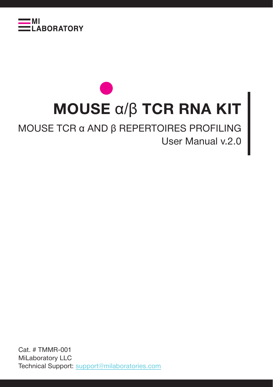

# **MOUSE** α/β **TCR RNA KIT**

## MOUSE TCR α AND β REPERTOIRES PROFILING User Manual v.2.0

Cat. # TMMR-001 MiLaboratory LLC Technical Support: support@milaboratories.com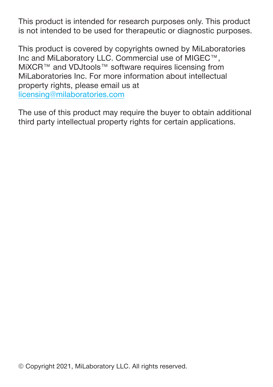This product is intended for research purposes only. This product is not intended to be used for therapeutic or diagnostic purposes.

This product is covered by copyrights owned by MiLaboratories Inc and MiLaboratory LLC. Commercial use of MIGEC™, MiXCR™ and VDJtools™ software requires licensing from MiLaboratories Inc. For more information about intellectual property rights, please email us at licensing@milaboratories.com

The use of this product may require the buyer to obtain additional third party intellectual property rights for certain applications.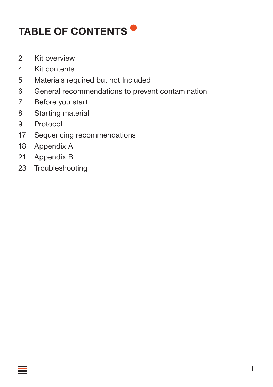# **TABLE OF CONTENTS**

- 2 Kit overview
- 4 Kit contents
- 5 Materials required but not Included
- 6 General recommendations to prevent contamination
- 7 Before you start
- 8 Starting material
- 9 Protocol
- 17 Sequencing recommendations
- 18 Appendix A
- 21 Appendix B
- 23 Troubleshooting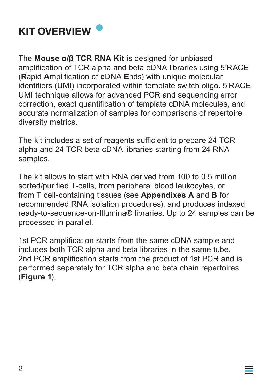

The **Mouse α/β TCR RNA Kit** is designed for unbiased amplification of TCR alpha and beta cDNA libraries using 5'RACE (**R**apid **A**mplification of **c**DNA **E**nds) with unique molecular identifiers (UMI) incorporated within template switch oligo. 5'RACE UMI technique allows for advanced PCR and sequencing error correction, exact quantification of template cDNA molecules, and accurate normalization of samples for comparisons of repertoire diversity metrics.

The kit includes a set of reagents sufficient to prepare 24 TCR alpha and 24 TCR beta cDNA libraries starting from 24 RNA samples.

The kit allows to start with RNA derived from 100 to 0.5 million sorted/purified T-cells, from peripheral blood leukocytes, or from T cell-containing tissues (see **Appendixes A** and **B** for recommended RNA isolation procedures), and produces indexed ready-to-sequence-on-Illumina® libraries. Up to 24 samples can be processed in parallel.

1st PCR amplification starts from the same cDNA sample and includes both TCR alpha and beta libraries in the same tube. 2nd PCR amplification starts from the product of 1st PCR and is performed separately for TCR alpha and beta chain repertoires (**Figure 1**).

═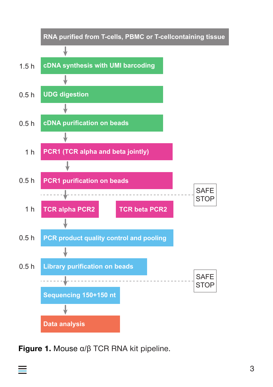

**Figure 1.** Mouse α/β TCR RNA kit pipeline.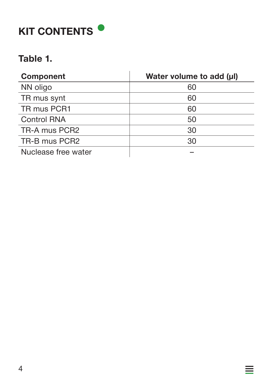# **KIT CONTENTS**

#### **Table 1.**

| <b>Component</b>    | Water volume to add (µI) |
|---------------------|--------------------------|
| NN oligo            | 60                       |
| TR mus synt         | 60                       |
| TR mus PCR1         | 60                       |
| <b>Control RNA</b>  | 50                       |
| TR-A mus PCR2       | 30                       |
| TR-B mus PCR2       | 30                       |
| Nuclease free water |                          |

亖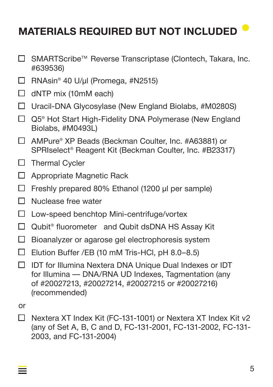# **MATERIALS REQUIRED BUT NOT INCLUDED**

- SMARTScribe™ Reverse Transcriptase (Clontech, Takara, Inc. П. #639536)
- $\Box$  RNAsin<sup>®</sup> 40 U/μl (Promega, #N2515)
- $\Box$  dNTP mix (10mM each)
- $\Box$  Uracil-DNA Glycosylase (New England Biolabs, #M0280S)
- $\Box$  Q5<sup>®</sup> Hot Start High-Fidelity DNA Polymerase (New England Biolabs, #M0493L)
- □ AMPure<sup>®</sup> XP Beads (Beckman Coulter, Inc. #A63881) or SPRIselect® Reagent Kit (Beckman Coulter, Inc. #B23317)
- $\Box$  Thermal Cycler
- $\Box$  Appropriate Magnetic Rack
- $\Box$  Freshly prepared 80% Ethanol (1200 μl per sample)
- $\Box$  Nuclease free water
- $\Box$  Low-speed benchtop Mini-centrifuge/vortex
- $\Box$  Qubit<sup>®</sup> fluorometer and Qubit dsDNA HS Assay Kit
- $\Box$  Bioanalyzer or agarose gel electrophoresis system
- $\Box$  Elution Buffer /EB (10 mM Tris-HCl, pH 8.0-8.5)
- $\Box$  IDT for Illumina Nextera DNA Unique Dual Indexes or IDT for Illumina — DNA/RNA UD Indexes, Tagmentation (any of #20027213, #20027214, #20027215 or #20027216) (recommended)

or

Nextera XT Index Kit (FC-131-1001) or Nextera XT Index Kit v2 П (any of Set A, B, C and D, FC-131-2001, FC-131-2002, FC-131- 2003, and FC-131-2004)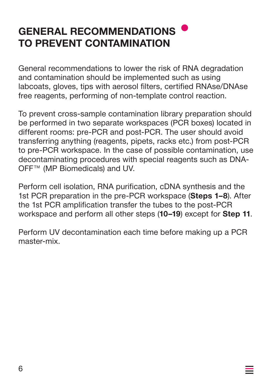# **GENERAL RECOMMENDATIONS TO PREVENT CONTAMINATION**

General recommendations to lower the risk of RNA degradation and contamination should be implemented such as using labcoats, gloves, tips with aerosol filters, certified RNAse/DNAse free reagents, performing of non-template control reaction.

To prevent cross-sample contamination library preparation should be performed in two separate workspaces (PCR boxes) located in different rooms: pre-PCR and post-PCR. The user should avoid transferring anything (reagents, pipets, racks etc.) from post-PCR to pre-PCR workspace. In the case of possible contamination, use decontaminating procedures with special reagents such as DNA-OFF™ (MP Biomedicals) and UV.

Perform cell isolation, RNA purification, cDNA synthesis and the 1st PCR preparation in the pre-PCR workspace (**Steps 1–8**). After the 1st PCR amplification transfer the tubes to the post-PCR workspace and perform all other steps (**10–19**) except for **Step 11**.

Perform UV decontamination each time before making up a PCR master-mix.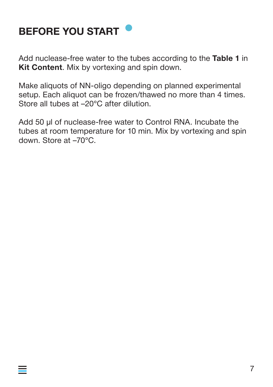

 $\equiv$ 

Add nuclease-free water to the tubes according to the **Table 1** in **Kit Content**. Mix by vortexing and spin down.

Make aliquots of NN-oligo depending on planned experimental setup. Each aliquot can be frozen/thawed no more than 4 times. Store all tubes at –20°C after dilution.

Add 50 μl of nuclease-free water to Control RNA. Incubate the tubes at room temperature for 10 min. Mix by vortexing and spin down. Store at –70°C.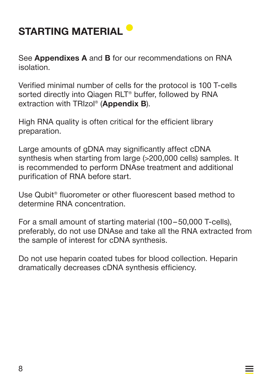# **STARTING MATERIAL**

See **Appendixes A** and **B** for our recommendations on RNA isolation.

Verified minimal number of cells for the protocol is 100 T-cells sorted directly into Qiagen RLT<sup>®</sup> buffer, followed by RNA extraction with TRIzol® (**Appendix B**).

High RNA quality is often critical for the efficient library preparation.

Large amounts of gDNA may significantly affect cDNA synthesis when starting from large (>200,000 cells) samples. It is recommended to perform DNAse treatment and additional purification of RNA before start.

Use Qubit® fluorometer or other fluorescent based method to determine RNA concentration.

For a small amount of starting material (100 – 50,000 T-cells), preferably, do not use DNAse and take all the RNA extracted from the sample of interest for cDNA synthesis.

Do not use heparin coated tubes for blood collection. Heparin dramatically decreases cDNA synthesis efficiency.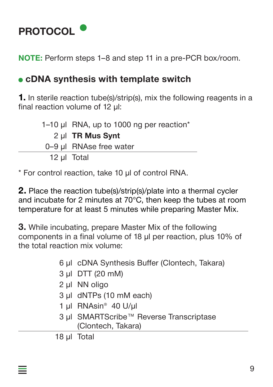

**NOTE:** Perform steps 1–8 and step 11 in a pre-PCR box/room.

#### **cDNA synthesis with template switch**

**1.** In sterile reaction tube(s)/strip(s), mix the following reagents in a final reaction volume of 12 μl:

1–10 μl RNA, up to 1000 ng per reaction\* 2 μl **TR Mus Synt** 0–9 μl RNAse free water 12 μl Total

\* For control reaction, take 10 μl of control RNA.

**2.** Place the reaction tube(s)/strip(s)/plate into a thermal cycler and incubate for 2 minutes at 70°C, then keep the tubes at room temperature for at least 5 minutes while preparing Master Mix.

**3.** While incubating, prepare Master Mix of the following components in a final volume of 18 μl per reaction, plus 10% of the total reaction mix volume:

- 6 μl cDNA Synthesis Buffer (Clontech, Takara)
- 3 μl DTT (20 mM)
- 2 μl NN oligo
- 3 μl dNTPs (10 mM each)
- 1 μl RNAsin® 40 U/μl
- 3 μl SMARTScribe™ Reverse Transcriptase (Clontech, Takara)

18 μl Total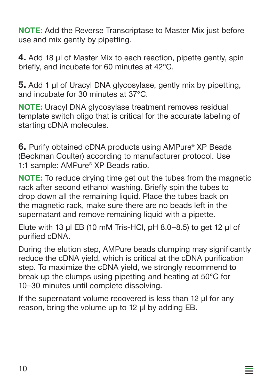**NOTE:** Add the Reverse Transcriptase to Master Mix just before use and mix gently by pipetting.

**4.** Add 18 μl of Master Mix to each reaction, pipette gently, spin briefly, and incubate for 60 minutes at 42°C.

**5.** Add 1 µl of Uracyl DNA glycosylase, gently mix by pipetting, and incubate for 30 minutes at 37°C.

**NOTE:** Uracyl DNA glycosylase treatment removes residual template switch oligo that is critical for the accurate labeling of starting cDNA molecules.

**6.** Purify obtained cDNA products using AMPure® XP Beads (Beckman Coulter) according to manufacturer protocol. Use 1:1 sample: AMPure® XP Beads ratio.

**NOTE:** To reduce drying time get out the tubes from the magnetic rack after second ethanol washing. Briefly spin the tubes to drop down all the remaining liquid. Place the tubes back on the magnetic rack, make sure there are no beads left in the supernatant and remove remaining liquid with a pipette.

Elute with 13 µl EB (10 mM Tris-HCl, pH 8.0–8.5) to get 12 µl of purified cDNA.

During the elution step, AMPure beads clumping may significantly reduce the cDNA yield, which is critical at the cDNA purification step. To maximize the cDNA yield, we strongly recommend to break up the clumps using pipetting and heating at 50°C for 10–30 minutes until complete dissolving.

 $\equiv$ 

If the supernatant volume recovered is less than 12 μl for any reason, bring the volume up to 12 μl by adding EB.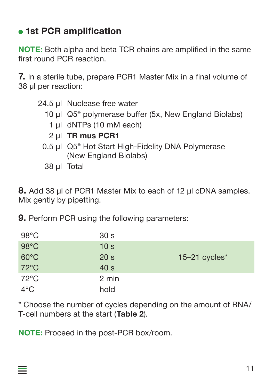## **1st PCR amplification**

**NOTE:** Both alpha and beta TCR chains are amplified in the same first round PCR reaction.

**7.** In a sterile tube, prepare PCR1 Master Mix in a final volume of 38 μl per reaction:

| 24.5 µl Nuclease free water |
|-----------------------------|
|-----------------------------|

- 10 μl Q5® polymerase buffer (5x, New England Biolabs)
	- 1 μl dNTPs (10 mМ each)
	- 2 μl **TR mus PCR1**
- 0.5 μl Q5® Hot Start High-Fidelity DNA Polymerase (New England Biolabs)

38 μl Total

**8.** Add 38 µl of PCR1 Master Mix to each of 12 µl cDNA samples. Mix gently by pipetting.

**9.** Perform PCR using the following parameters:

| $98^{\circ}$ C | 30 <sub>s</sub> |                             |
|----------------|-----------------|-----------------------------|
| $98^{\circ}$ C | 10 <sub>s</sub> |                             |
| $60^{\circ}$ C | 20 <sub>s</sub> | $15-21$ cycles <sup>*</sup> |
| $72^{\circ}$ C | 40 <sub>s</sub> |                             |
| $72^{\circ}$ C | 2 min           |                             |
| $4^{\circ}$ C  | hold            |                             |

\* Choose the number of cycles depending on the amount of RNA/ T-cell numbers at the start (**Table 2**).

**NOTE:** Proceed in the post-PCR box/room.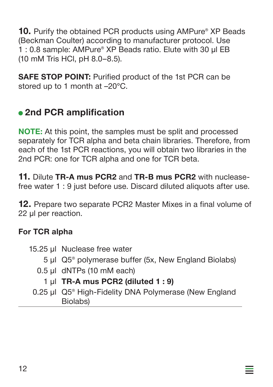**10.** Purify the obtained PCR products using AMPure<sup>®</sup> XP Beads (Beckman Coulter) according to manufacturer protocol. Use 1 : 0.8 sample: AMPure® XP Beads ratio. Elute with 30 µl EB (10 mM Tris HCl, pH 8.0–8.5).

**SAFE STOP POINT:** Purified product of the 1st PCR can be stored up to 1 month at –20°C.

## **2nd PCR amplification**

**NOTE:** At this point, the samples must be split and processed separately for TCR alpha and beta chain libraries. Therefore, from each of the 1st PCR reactions, you will obtain two libraries in the 2nd PCR: one for TCR alpha and one for TCR beta.

**11.** Dilute **TR-A mus PCR2** and **TR-B mus PCR2** with nucleasefree water 1 : 9 just before use. Discard diluted aliquots after use.

**12.** Prepare two separate PCR2 Master Mixes in a final volume of 22 μl per reaction.

#### **For TCR alpha**

- 15.25 μl Nuclease free water
	- 5 μl Q5® polymerase buffer (5x, New England Biolabs)
	- 0.5 μl dNTPs (10 mM each)
		- 1 μl **TR-A mus PCR2 (diluted 1 : 9)**
	- 0.25 μl Q5® High-Fidelity DNA Polymerase (New England Biolabs)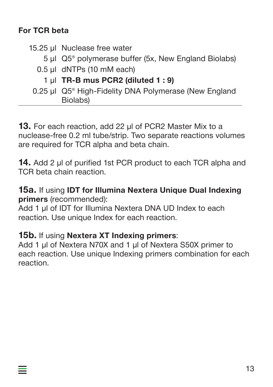#### **For TCR beta**

- 15.25 μl Nuclease free water
	- 5 μl Q5® polymerase buffer (5x, New England Biolabs)
	- 0.5 μl dNTPs (10 mM each)
		- 1 μl **TR-B mus PCR2 (diluted 1 : 9)**
	- 0.25 μl Q5® High-Fidelity DNA Polymerase (New England Biolabs)

**13.** For each reaction, add 22 μl of PCR2 Master Mix to a nuclease-free 0.2 ml tube/strip. Two separate reactions volumes are required for TCR alpha and beta chain.

**14.** Add 2 µl of purified 1st PCR product to each TCR alpha and TCR beta chain reaction.

**15a.** If using **IDT for Illumina Nextera Unique Dual Indexing primers** (recommended):

Add 1 μl of IDT for Illumina Nextera DNA UD Index to each reaction. Use unique Index for each reaction.

#### **15b.** If using **Nextera XT Indexing primers**:

Add 1 μl of Nextera N70X and 1 μl of Nextera S50X primer to each reaction. Use unique Indexing primers combination for each reaction.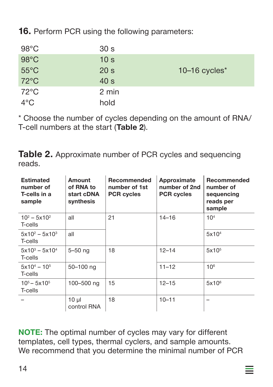**16.** Perform PCR using the following parameters:

| $98^{\circ}$ C | 30 <sub>s</sub> |                  |
|----------------|-----------------|------------------|
| $98^{\circ}$ C | 10 <sub>s</sub> |                  |
| $55^{\circ}$ C | 20 <sub>s</sub> | 10-16 cycles $*$ |
| $72^{\circ}$ C | 40 <sub>s</sub> |                  |
| $72^{\circ}$ C | 2 min           |                  |
| $4^{\circ}$ C  | hold            |                  |

\* Choose the number of cycles depending on the amount of RNA/ T-cell numbers at the start (**Table 2**).

**Table 2.** Approximate number of PCR cycles and sequencing reads.

| <b>Estimated</b><br>number of<br>T-cells in a<br>sample | Amount<br>of RNA to<br>start cDNA<br>synthesis | <b>Recommended</b><br>number of 1st<br><b>PCR cycles</b> | Approximate<br>number of 2nd<br><b>PCR cycles</b> | <b>Recommended</b><br>number of<br>sequencing<br>reads per<br>sample |
|---------------------------------------------------------|------------------------------------------------|----------------------------------------------------------|---------------------------------------------------|----------------------------------------------------------------------|
| $10^2 - 5 \times 10^2$<br>T-cells                       | all                                            | 21                                                       | $14 - 16$                                         | 10 <sup>4</sup>                                                      |
| $5x10^2 - 5x10^3$<br>T-cells                            | all                                            |                                                          |                                                   | 5x10 <sup>4</sup>                                                    |
| $5x10^3 - 5x10^4$<br>T-cells                            | $5 - 50$ ng                                    | 18                                                       | $12 - 14$                                         | 5x10 <sup>5</sup>                                                    |
| $5x10^4 - 10^5$<br>T-cells                              | 50-100 ng                                      |                                                          | $11 - 12$                                         | 10 <sup>6</sup>                                                      |
| $10^5 - 5 \times 10^5$<br>T-cells                       | 100-500 ng                                     | 15                                                       | $12 - 15$                                         | $5x10^6$                                                             |
|                                                         | $10 \mu$<br>control RNA                        | 18                                                       | $10 - 11$                                         |                                                                      |

**NOTE:** The optimal number of cycles may vary for different templates, cell types, thermal cyclers, and sample amounts. We recommend that you determine the minimal number of PCR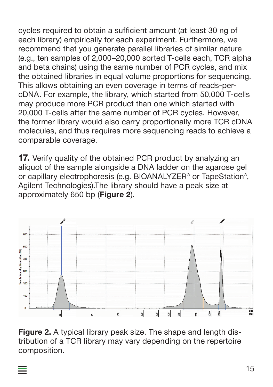cycles required to obtain a sufficient amount (at least 30 ng of each library) empirically for each experiment. Furthermore, we recommend that you generate parallel libraries of similar nature (e.g., ten samples of 2,000–20,000 sorted T-cells each, TCR alpha and beta chains) using the same number of PCR cycles, and mix the obtained libraries in equal volume proportions for sequencing. This allows obtaining an even coverage in terms of reads-percDNA. For example, the library, which started from 50,000 T-cells may produce more PCR product than one which started with 20,000 T-cells after the same number of PCR cycles. However, the former library would also carry proportionally more TCR cDNA molecules, and thus requires more sequencing reads to achieve a comparable coverage.

**17.** Verify quality of the obtained PCR product by analyzing an aliquot of the sample alongside a DNA ladder on the agarose gel or capillary electrophoresis (e.g. BIOANALYZER® or TapeStation®, Agilent Technologies).The library should have a peak size at approximately 650 bp (**Figure 2**).



**Figure 2.** A typical library peak size. The shape and length distribution of a TCR library may vary depending on the repertoire composition.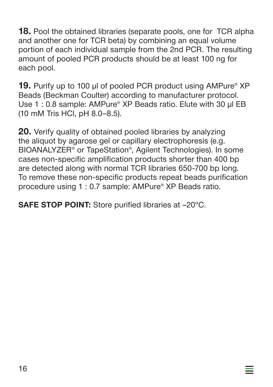**18.** Pool the obtained libraries (separate pools, one for TCR alpha and another one for TCR beta) by combining an equal volume portion of each individual sample from the 2nd PCR. The resulting amount of pooled PCR products should be at least 100 ng for each pool.

**19.** Purify up to 100 μl of pooled PCR product using AMPure® XP Beads (Beckman Coulter) according to manufacturer protocol. Use 1: 0.8 sample: AMPure<sup>®</sup> XP Beads ratio. Elute with 30 ul EB (10 mM Tris HCl, pH 8.0–8.5).

**20.** Verify quality of obtained pooled libraries by analyzing the aliquot by agarose gel or capillary electrophoresis (e.g. BIOANALYZER® or TapeStation®, Agilent Technologies). In some cases non-specific amplification products shorter than 400 bp are detected along with normal TCR libraries 650-700 bp long. To remove these non-specific products repeat beads purification procedure using 1 : 0.7 sample: AMPure® XP Beads ratio.

 $\equiv$ 

**SAFE STOP POINT:** Store purified libraries at –20°C.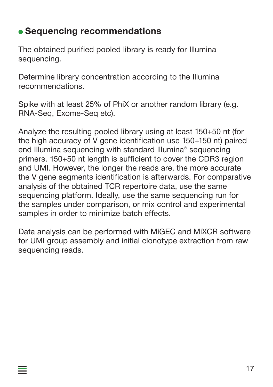## **Sequencing recommendations**

 $\equiv$ 

The obtained purified pooled library is ready for Illumina sequencing.

Determine library concentration according to the Illumina recommendations.

Spike with at least 25% of PhiX or another random library (e.g. RNA-Seq, Exome-Seq etc).

Analyze the resulting pooled library using at least 150+50 nt (for the high accuracy of V gene identification use 150+150 nt) paired end Illumina sequencing with standard Illumina® sequencing primers. 150+50 nt length is sufficient to cover the CDR3 region and UMI. However, the longer the reads are, the more accurate the V gene segments identification is afterwards. For comparative analysis of the obtained TCR repertoire data, use the same sequencing platform. Ideally, use the same sequencing run for the samples under comparison, or mix control and experimental samples in order to minimize batch effects.

Data analysis can be performed with MiGEC and MiXCR software for UMI group assembly and initial clonotype extraction from raw sequencing reads.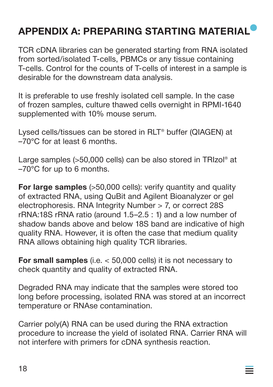## **APPENDIX A: PREPARING STARTING MATERIAL**

TCR cDNA libraries can be generated starting from RNA isolated from sorted/isolated T-cells, PBMCs or any tissue containing T-cells. Control for the counts of T-cells of interest in a sample is desirable for the downstream data analysis.

It is preferable to use freshly isolated cell sample. In the case of frozen samples, culture thawed cells overnight in RPMI-1640 supplemented with 10% mouse serum.

Lysed cells/tissues can be stored in RLT® buffer (QIAGEN) at –70°C for at least 6 months.

Large samples (>50,000 cells) can be also stored in TRIzol® at –70°C for up to 6 months.

**For large samples** (>50,000 cells): verify quantity and quality of extracted RNA, using QuBit and Agilent Bioanalyzer or gel electrophoresis. RNA Integrity Number > 7, or correct 28S rRNA:18S rRNA ratio (around 1.5–2.5 : 1) and a low number of shadow bands above and below 18S band are indicative of high quality RNA. However, it is often the case that medium quality RNA allows obtaining high quality TCR libraries.

**For small samples** (i.e. < 50,000 cells) it is not necessary to check quantity and quality of extracted RNA.

Degraded RNA may indicate that the samples were stored too long before processing, isolated RNA was stored at an incorrect temperature or RNAse contamination.

Carrier poly(A) RNA can be used during the RNA extraction procedure to increase the yield of isolated RNA. Carrier RNA will not interfere with primers for cDNA synthesis reaction.

═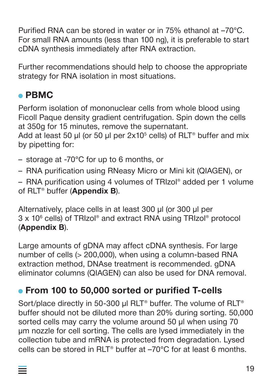Purified RNA can be stored in water or in 75% ethanol at –70°C. For small RNA amounts (less than 100 ng), it is preferable to start cDNA synthesis immediately after RNA extraction.

Further recommendations should help to choose the appropriate strategy for RNA isolation in most situations.

## **PBMC**

═

Perform isolation of mononuclear cells from whole blood using Ficoll Paque density gradient centrifugation. Spin down the cells at 350g for 15 minutes, remove the supernatant.

Add at least 50 μl (or 50 μl per 2x10<sup>5</sup> cells) of RLT® buffer and mix by pipetting for:

- storage at -70°C for up to 6 months, or
- RNA purification using RNeasy Micro or Mini kit (QIAGEN), or

– RNA purification using 4 volumes of TRIzol® added per 1 volume of RLT® buffer (**Appendix B**).

Alternatively, place cells in at least 300 μl (or 300 μl per 3 x 10<sup>6</sup> cells) of TRIzol® and extract RNA using TRIzol® protocol (**Appendix B**).

Large amounts of gDNA may affect cDNA synthesis. For large number of cells (> 200,000), when using a column-based RNA extraction method, DNAse treatment is recommended. gDNA eliminator columns (QIAGEN) can also be used for DNA removal.

## **From 100 to 50,000 sorted or purified T-cells**

Sort/place directly in 50-300 μl RLT® buffer. The volume of RLT® buffer should not be diluted more than 20% during sorting. 50,000 sorted cells may carry the volume around 50 μl when using 70 µm nozzle for cell sorting. The cells are lysed immediately in the collection tube and mRNA is protected from degradation. Lysed cells can be stored in  $RIT^{\circ}$  buffer at  $-70^{\circ}$ C for at least 6 months.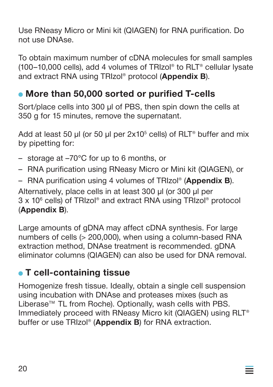Use RNeasy Micro or Mini kit (QIAGEN) for RNA purification. Do not use DNAse.

To obtain maximum number of cDNA molecules for small samples (100–10,000 cells), add 4 volumes of TRIzol® to RLT® cellular lysate and extract RNA using TRIzol® protocol (**Appendix B**).

## **More than 50,000 sorted or purified T-cells**

Sort/place cells into 300 μl of PBS, then spin down the cells at 350 g for 15 minutes, remove the supernatant.

Add at least 50 μl (or 50 μl per  $2x10<sup>5</sup>$  cells) of RLT<sup>®</sup> buffer and mix by pipetting for:

- storage at –70°C for up to 6 months, or
- RNA purification using RNeasy Micro or Mini kit (QIAGEN), or
- RNA purification using 4 volumes of TRIzol® (**Appendix B**). Alternatively, place cells in at least 300 μl (or 300 μl per

3 x 106 cells) of TRIzol® and extract RNA using TRIzol® protocol (**Appendix B**).

Large amounts of gDNA may affect cDNA synthesis. For large numbers of cells (> 200,000), when using a column-based RNA extraction method, DNAse treatment is recommended. gDNA eliminator columns (QIAGEN) can also be used for DNA removal.

## **T cell-containing tissue**

Homogenize fresh tissue. Ideally, obtain a single cell suspension using incubation with DNAse and proteases mixes (such as Liberase™ TL from Roche). Optionally, wash cells with PBS. Immediately proceed with RNeasy Micro kit (QIAGEN) using RLT® buffer or use TRIzol® (**Appendix B**) for RNA extraction.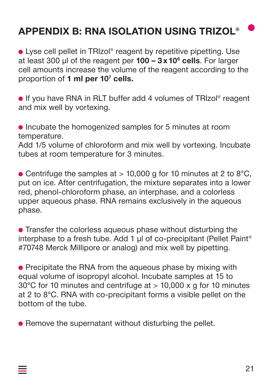## **APPENDIX B: RNA ISOLATION USING TRIZOL®**

■ Lyse cell pellet in TRIzol<sup>®</sup> reagent by repetitive pipetting. Use at least 300 μl of the reagent per **100 – 3 x 106 cells**. For larger cell amounts increase the volume of the reagent according to the proportion of **1 ml per 107 cells.**

● If you have RNA in RLT buffer add 4 volumes of TRIzol® reagent and mix well by vortexing.

• Incubate the homogenized samples for 5 minutes at room temperature.

Add 1/5 volume of chloroform and mix well by vortexing. Incubate tubes at room temperature for 3 minutes.

• Centrifuge the samples at  $> 10,000$  g for 10 minutes at 2 to 8°C, put on ice. After centrifugation, the mixture separates into a lower red, phenol-chloroform phase, an interphase, and a colorless upper aqueous phase. RNA remains exclusively in the aqueous phase.

**• Transfer the colorless aqueous phase without disturbing the** interphase to a fresh tube. Add 1 μl of co-precipitant (Pellet Paint<sup>®</sup> #70748 Merck Millipore or analog) and mix well by pipetting.

• Precipitate the RNA from the aqueous phase by mixing with equal volume of isopropyl alcohol. Incubate samples at 15 to 30°C for 10 minutes and centrifuge at > 10,000 x g for 10 minutes at 2 to 8°C. RNA with co-precipitant forms a visible pellet on the bottom of the tube.

• Remove the supernatant without disturbing the pellet.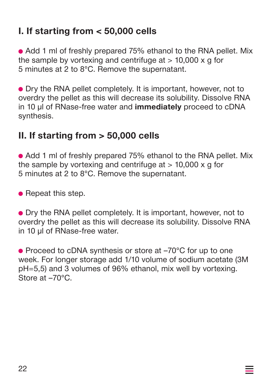## **I. If starting from < 50,000 cells**

• Add 1 ml of freshly prepared 75% ethanol to the RNA pellet. Mix the sample by vortexing and centrifuge at  $> 10,000 \times g$  for 5 minutes at 2 to 8°C. Remove the supernatant.

Dry the RNA pellet completely. It is important, however, not to overdry the pellet as this will decrease its solubility. Dissolve RNA in 10 μl of RNase-free water and **immediately** proceed to cDNA synthesis.

## **II. If starting from > 50,000 cells**

• Add 1 ml of freshly prepared 75% ethanol to the RNA pellet. Mix the sample by vortexing and centrifuge at  $> 10.000 \times g$  for 5 minutes at 2 to 8°C. Remove the supernatant.

 $\bullet$  Repeat this step.

Dry the RNA pellet completely. It is important, however, not to overdry the pellet as this will decrease its solubility. Dissolve RNA in 10 μl of RNase-free water.

● Proceed to cDNA synthesis or store at –70°C for up to one week. For longer storage add 1/10 volume of sodium acetate (3M pH=5,5) and 3 volumes of 96% ethanol, mix well by vortexing. Store at –70°C.